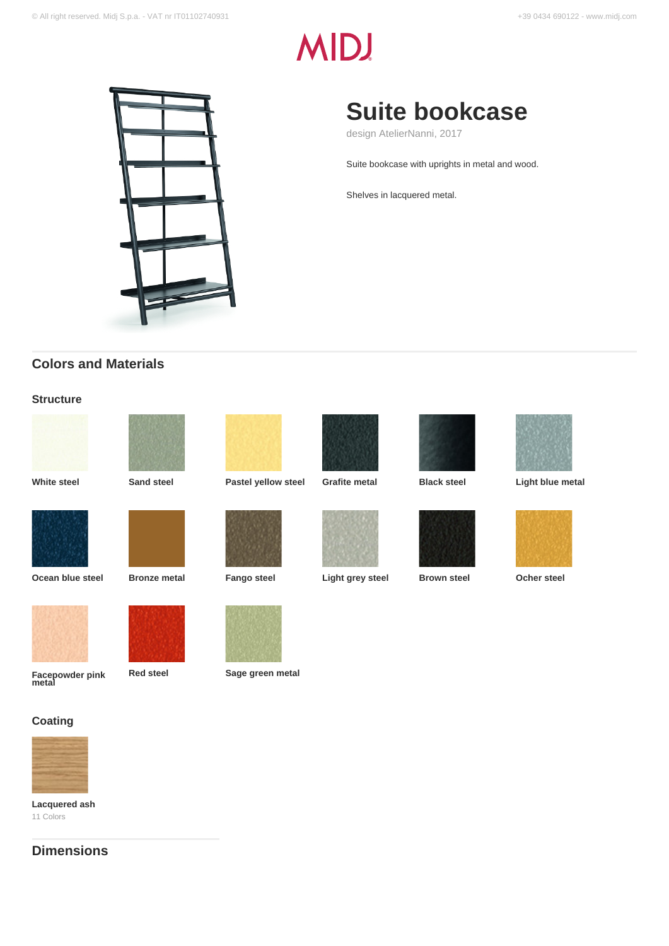# **MIDJ**



## **Suite bookcase**

design AtelierNanni, 2017

Suite bookcase with uprights in metal and wood.

Shelves in lacquered metal.

### **Colors and Materials**

#### **Structure**















**White steel Sand steel Pastel yellow steel Grafite metal Black steel Light blue metal**









**Facepowder pink metal**

















**Red steel Sage green metal**





**Ocean blue steel Bronze metal Fango steel Light grey steel Brown steel Ocher steel**







**Coating**

**Lacquered ash** 11 Colors

**Dimensions**